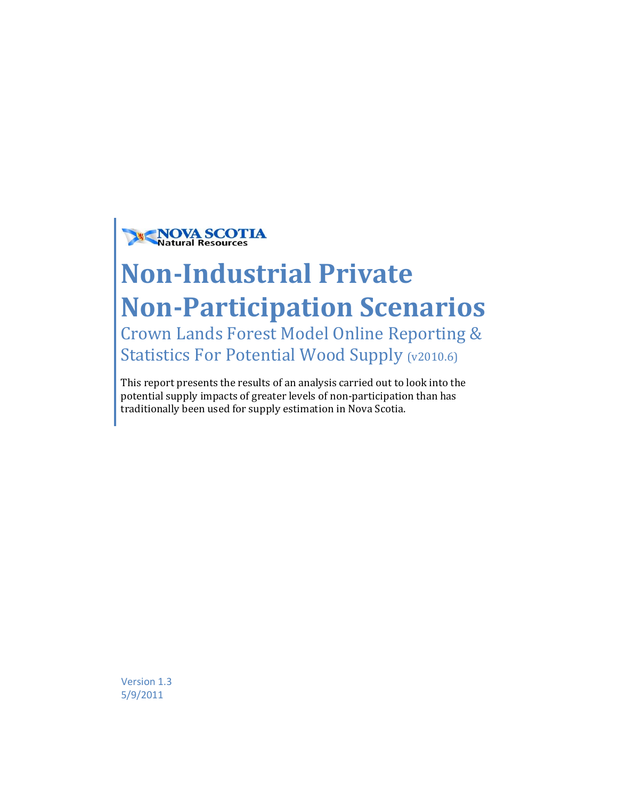

# **Non-Industrial Private Non-Participation Scenarios**

Crown Lands Forest Model Online Reporting & Statistics For Potential Wood Supply (v2010.6)

This report presents the results of an analysis carried out to look into the potential supply impacts of greater levels of non-participation than has traditionally been used for supply estimation in Nova Scotia.

Version 1.3 5/9/2011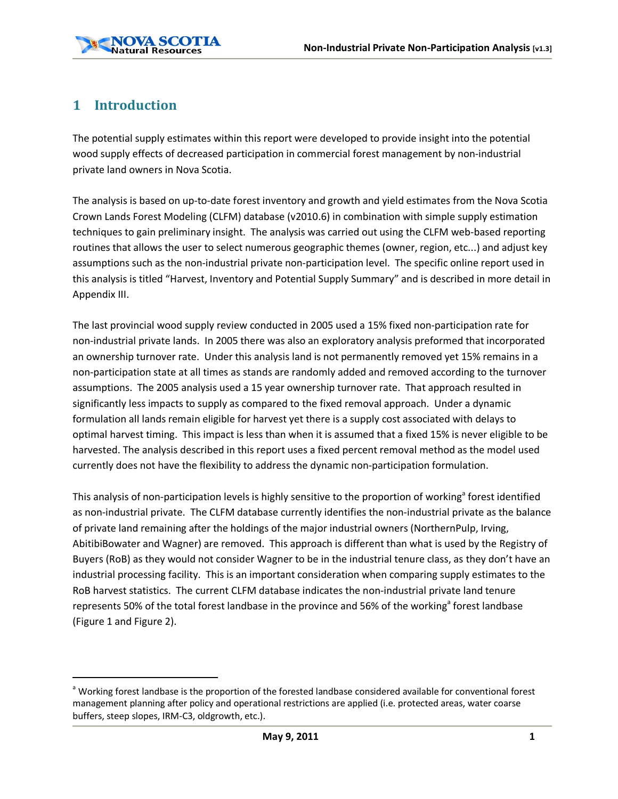

### **1 Introduction**

The potential supply estimates within this report were developed to provide insight into the potential wood supply effects of decreased participation in commercial forest management by non-industrial private land owners in Nova Scotia.

The analysis is based on up-to-date forest inventory and growth and yield estimates from the Nova Scotia Crown Lands Forest Modeling (CLFM) database (v2010.6) in combination with simple supply estimation techniques to gain preliminary insight. The analysis was carried out using the CLFM web-based reporting routines that allows the user to select numerous geographic themes (owner, region, etc...) and adjust key assumptions such as the non-industrial private non-participation level. The specific online report used in this analysis is titled "Harvest, Inventory and Potential Supply Summary" and is described in more detail in Appendix III.

The last provincial wood supply review conducted in 2005 used a 15% fixed non-participation rate for non-industrial private lands. In 2005 there was also an exploratory analysis preformed that incorporated an ownership turnover rate. Under this analysis land is not permanently removed yet 15% remains in a non-participation state at all times as stands are randomly added and removed according to the turnover assumptions. The 2005 analysis used a 15 year ownership turnover rate. That approach resulted in significantly less impacts to supply as compared to the fixed removal approach. Under a dynamic formulation all lands remain eligible for harvest yet there is a supply cost associated with delays to optimal harvest timing. This impact is less than when it is assumed that a fixed 15% is never eligible to be harvested. The analysis described in this report uses a fixed percent removal method as the model used currently does not have the flexibility to address the dynamic non-participation formulation.

This analysis of non-participation levels is highly sensitive to the proportion of working<sup>a</sup> forest identified as non-industrial private. The CLFM database currently identifies the non-industrial private as the balance of private land remaining after the holdings of the major industrial owners (NorthernPulp, Irving, AbitibiBowater and Wagner) are removed. This approach is different than what is used by the Registry of Buyers (RoB) as they would not consider Wagner to be in the industrial tenure class, as they don't have an industrial processing facility. This is an important consideration when comparing supply estimates to the RoB harvest statistics. The current CLFM database indicates the non-industrial private land tenure represents 50% of the total forest landbase in the province and 56% of the working<sup>a</sup> forest landbase (Figure 1 and Figure 2).

<sup>&</sup>lt;sup>a</sup> Working forest landbase is the proportion of the forested landbase considered available for conventional forest management planning after policy and operational restrictions are applied (i.e. protected areas, water coarse buffers, steep slopes, IRM-C3, oldgrowth, etc.).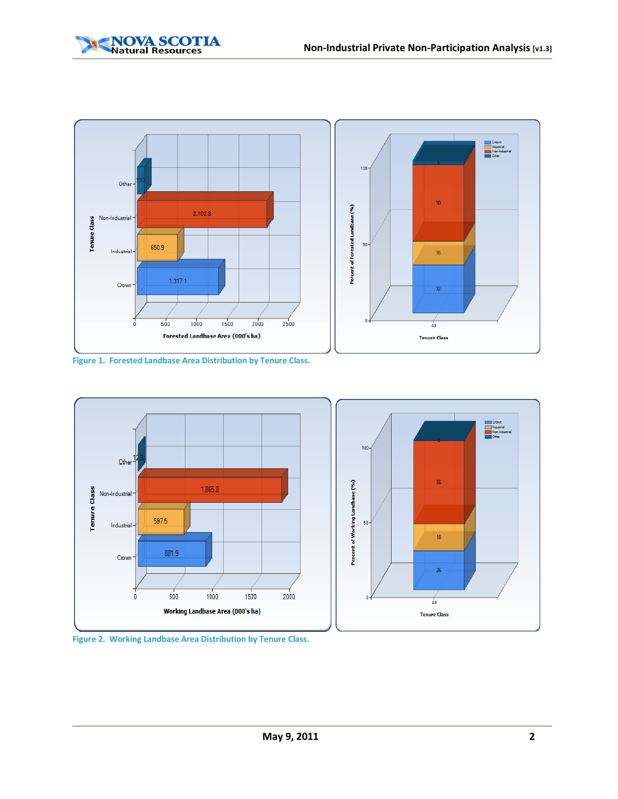



**Figure 1. Forested Landbase Area Distribution by Tenure Class.**



**Figure 2. Working Landbase Area Distribution by Tenure Class.**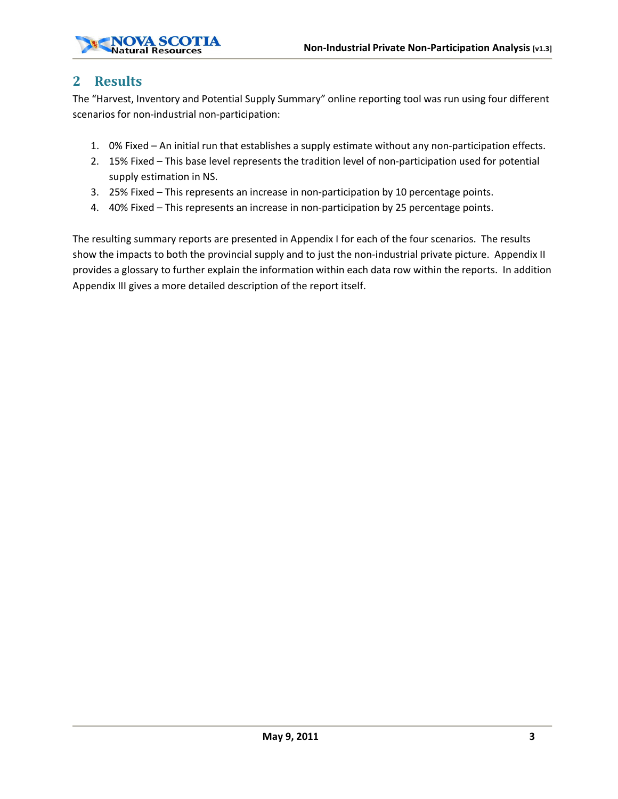

#### **2 Results**

The "Harvest, Inventory and Potential Supply Summary" online reporting tool was run using four different scenarios for non-industrial non-participation:

- 1. 0% Fixed An initial run that establishes a supply estimate without any non-participation effects.
- 2. 15% Fixed This base level represents the tradition level of non-participation used for potential supply estimation in NS.
- 3. 25% Fixed This represents an increase in non-participation by 10 percentage points.
- 4. 40% Fixed This represents an increase in non-participation by 25 percentage points.

The resulting summary reports are presented in Appendix I for each of the four scenarios. The results show the impacts to both the provincial supply and to just the non-industrial private picture. Appendix II provides a glossary to further explain the information within each data row within the reports. In addition Appendix III gives a more detailed description of the report itself.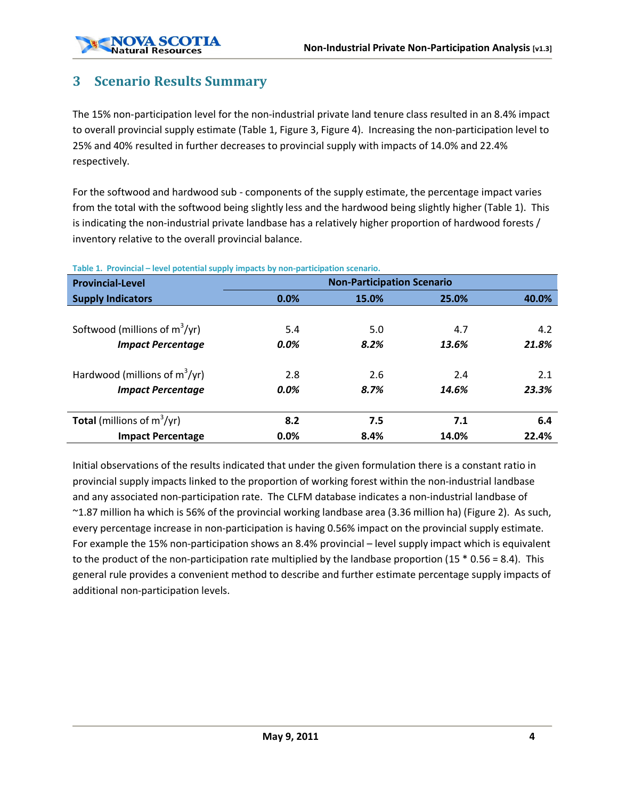#### **3 Scenario Results Summary**

The 15% non-participation level for the non-industrial private land tenure class resulted in an 8.4% impact to overall provincial supply estimate (Table 1, Figure 3, Figure 4). Increasing the non-participation level to 25% and 40% resulted in further decreases to provincial supply with impacts of 14.0% and 22.4% respectively.

For the softwood and hardwood sub - components of the supply estimate, the percentage impact varies from the total with the softwood being slightly less and the hardwood being slightly higher (Table 1). This is indicating the non-industrial private landbase has a relatively higher proportion of hardwood forests / inventory relative to the overall provincial balance.

| . .<br><b>Provincial-Level</b>       | <b>Non-Participation Scenario</b> |       |       |       |  |  |
|--------------------------------------|-----------------------------------|-------|-------|-------|--|--|
| <b>Supply Indicators</b>             | $0.0\%$                           | 15.0% | 25.0% | 40.0% |  |  |
|                                      |                                   |       |       |       |  |  |
| Softwood (millions of $m^3/yr$ )     | 5.4                               | 5.0   | 4.7   | 4.2   |  |  |
| <b>Impact Percentage</b>             | 0.0%                              | 8.2%  | 13.6% | 21.8% |  |  |
| Hardwood (millions of $m^3/yr$ )     | 2.8                               | 2.6   | 2.4   | 2.1   |  |  |
| <b>Impact Percentage</b>             | 0.0%                              | 8.7%  | 14.6% | 23.3% |  |  |
| <b>Total</b> (millions of $m^3/yr$ ) | 8.2                               | 7.5   | 7.1   | 6.4   |  |  |
| <b>Impact Percentage</b>             | 0.0%                              | 8.4%  | 14.0% | 22.4% |  |  |

#### **Table 1. Provincial – level potential supply impacts by non-participation scenario.**

Initial observations of the results indicated that under the given formulation there is a constant ratio in provincial supply impacts linked to the proportion of working forest within the non-industrial landbase and any associated non-participation rate. The CLFM database indicates a non-industrial landbase of ~1.87 million ha which is 56% of the provincial working landbase area (3.36 million ha) (Figure 2). As such, every percentage increase in non-participation is having 0.56% impact on the provincial supply estimate. For example the 15% non-participation shows an 8.4% provincial – level supply impact which is equivalent to the product of the non-participation rate multiplied by the landbase proportion  $(15 * 0.56 = 8.4)$ . This general rule provides a convenient method to describe and further estimate percentage supply impacts of additional non-participation levels.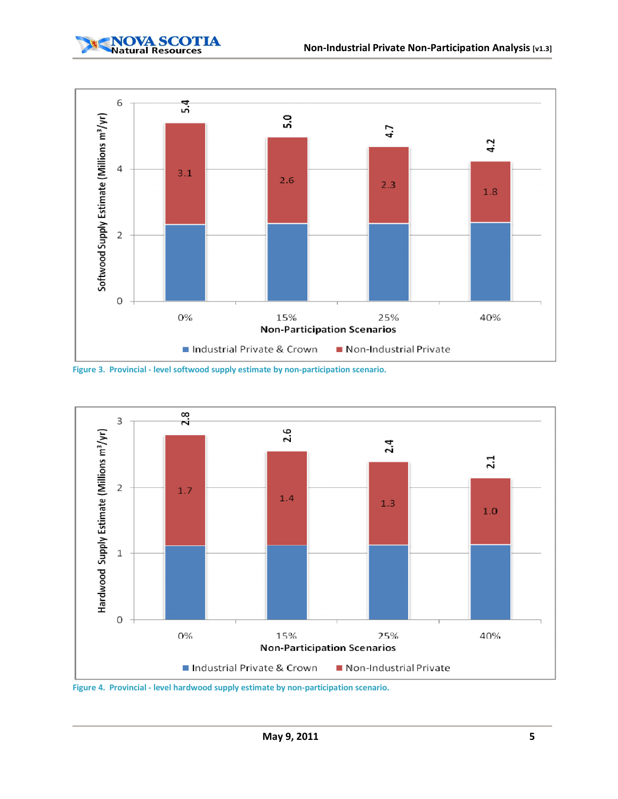

|  |  | a construction of the construction of the construction of the construction of the construction of the construction of the construction of the construction of the construction of the construction of the construction of the |                    |  |
|--|--|-------------------------------------------------------------------------------------------------------------------------------------------------------------------------------------------------------------------------------|--------------------|--|
|  |  | the contract of the contract of the contract of the contract of the contract of the contract of the contract of                                                                                                               |                    |  |
|  |  | the project of the company of the company of the company of the company of the company of the company of the company of the company of the company of the company of the company of the company of the company of the company |                    |  |
|  |  | <u>a se a compañado de compañado de compañado de compañado de compañado de compañado de compañado de compañado de</u>                                                                                                         | and the control of |  |

| <b>Non-Participation Scenarios</b> |                          |  |
|------------------------------------|--------------------------|--|
| Industrial Private & Crown         | ■ Non-Industrial Private |  |

**Figure 3. Provincial - level softwood supply estimate by non-participation scenario.**

|            |  | <b>Non-Participation Scenarios</b><br>Industrial Private & Crown Industrial Private |  |
|------------|--|-------------------------------------------------------------------------------------|--|
|            |  |                                                                                     |  |
|            |  |                                                                                     |  |
| <b>CLJ</b> |  |                                                                                     |  |
|            |  |                                                                                     |  |
|            |  |                                                                                     |  |

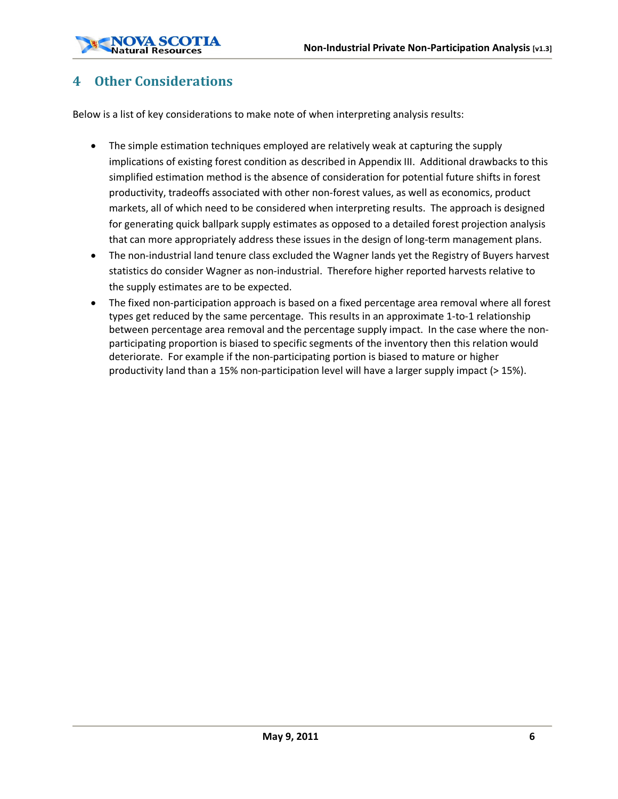### **4 Other Considerations**

Below is a list of key considerations to make note of when interpreting analysis results:

- The simple estimation techniques employed are relatively weak at capturing the supply implications of existing forest condition as described in Appendix III. Additional drawbacks to this simplified estimation method is the absence of consideration for potential future shifts in forest productivity, tradeoffs associated with other non-forest values, as well as economics, product markets, all of which need to be considered when interpreting results. The approach is designed for generating quick ballpark supply estimates as opposed to a detailed forest projection analysis that can more appropriately address these issues in the design of long-term management plans.
- The non-industrial land tenure class excluded the Wagner lands yet the Registry of Buyers harvest statistics do consider Wagner as non-industrial. Therefore higher reported harvests relative to the supply estimates are to be expected.
- · The fixed non-participation approach is based on a fixed percentage area removal where all forest types get reduced by the same percentage. This results in an approximate 1-to-1 relationship between percentage area removal and the percentage supply impact. In the case where the nonparticipating proportion is biased to specific segments of the inventory then this relation would deteriorate. For example if the non-participating portion is biased to mature or higher productivity land than a 15% non-participation level will have a larger supply impact (> 15%).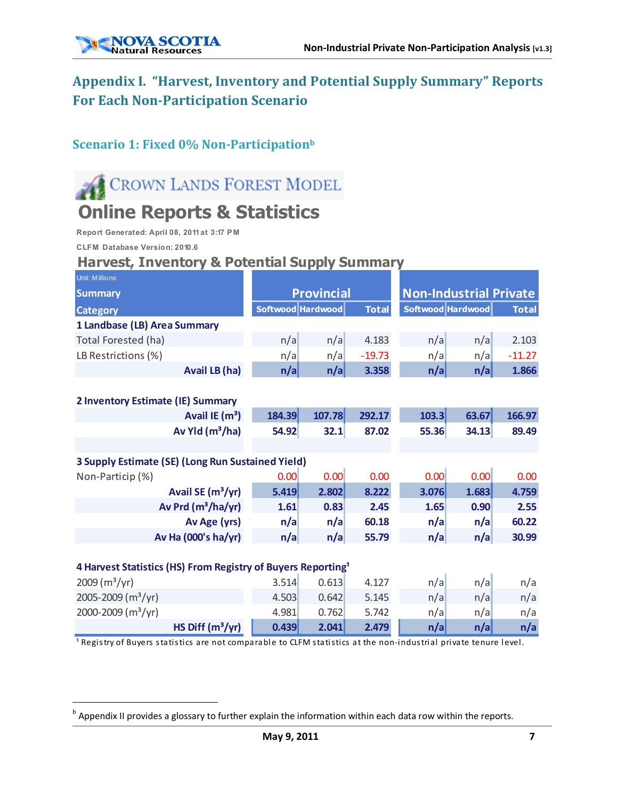

## **Appendix I. "Harvest, Inventory and Potential Supply Summary" Reports For Each Non-Participation Scenario**

#### **Scenario 1: Fixed 0% Non-Participationb**

# CROWN LANDS FOREST MODEL **Online Reports & Statistics**

**Report Generated: April 08, 2011 at 3:17 PM**

**CLFM Database Version: 2010.6**

### **Harvest, Inventory & Potential Supply Summary**

| Unit: Millions                                                           |                   |                   |              |                               |       |              |
|--------------------------------------------------------------------------|-------------------|-------------------|--------------|-------------------------------|-------|--------------|
| <b>Summary</b>                                                           |                   | <b>Provincial</b> |              | <b>Non-Industrial Private</b> |       |              |
| <b>Category</b>                                                          | Softwood Hardwood |                   | <b>Total</b> | Softwood Hardwood             |       | <b>Total</b> |
| 1 Landbase (LB) Area Summary                                             |                   |                   |              |                               |       |              |
| Total Forested (ha)                                                      | n/a               | n/a               | 4.183        | n/a                           | n/a   | 2.103        |
| LB Restrictions (%)                                                      | n/a               | n/a               | $-19.73$     | n/a                           | n/a   | $-11.27$     |
| <b>Avail LB (ha)</b>                                                     | n/a               | n/a               | 3.358        | n/a                           | n/a   | 1.866        |
|                                                                          |                   |                   |              |                               |       |              |
| 2 Inventory Estimate (IE) Summary                                        |                   |                   |              |                               |       |              |
| Avail IE $(m^3)$                                                         | 184.39            | 107.78            | 292.17       | 103.3                         | 63.67 | 166.97       |
| Av Yld $(m^3/ha)$                                                        | 54.92             | 32.1              | 87.02        | 55.36                         | 34.13 | 89.49        |
|                                                                          |                   |                   |              |                               |       |              |
| 3 Supply Estimate (SE) (Long Run Sustained Yield)                        |                   |                   |              |                               |       |              |
| Non-Particip (%)                                                         | 0.00              | 0.00              | 0.00         | 0.00                          | 0.00  | 0.00         |
| Avail SE (m <sup>3</sup> /yr)                                            | 5.419             | 2.802             | 8.222        | 3.076                         | 1.683 | 4.759        |
| Av Prd (m <sup>3</sup> /ha/yr)                                           | 1.61              | 0.83              | 2.45         | 1.65                          | 0.90  | 2.55         |
| Av Age (yrs)                                                             | n/a               | n/a               | 60.18        | n/a                           | n/a   | 60.22        |
| Av Ha (000's ha/yr)                                                      | n/a               | n/a               | 55.79        | n/a                           | n/a   | 30.99        |
|                                                                          |                   |                   |              |                               |       |              |
| 4 Harvest Statistics (HS) From Registry of Buyers Reporting <sup>1</sup> |                   |                   |              |                               |       |              |
| 2009 (m <sup>3</sup> /yr)                                                | 3.514             | 0.613             | 4.127        | n/a                           | n/a   | n/a          |
| 2005-2009 (m <sup>3</sup> /yr)                                           | 4.503             | 0.642             | 5.145        | n/a                           | n/a   | n/a          |
| 2000-2009 (m <sup>3</sup> /yr)                                           | 4.981             | 0.762             | 5.742        | n/a                           | n/a   | n/a          |
| HS Diff $(m^3/yr)$                                                       | 0.439             | 2.041             | 2.479        | n/a                           | n/a   | n/a          |

<sup>1</sup> Registry of Buyers statistics are not comparable to CLFM statistics at the non-industrial private tenure level.

**b** Appendix II provides a glossary to further explain the information within each data row within the reports.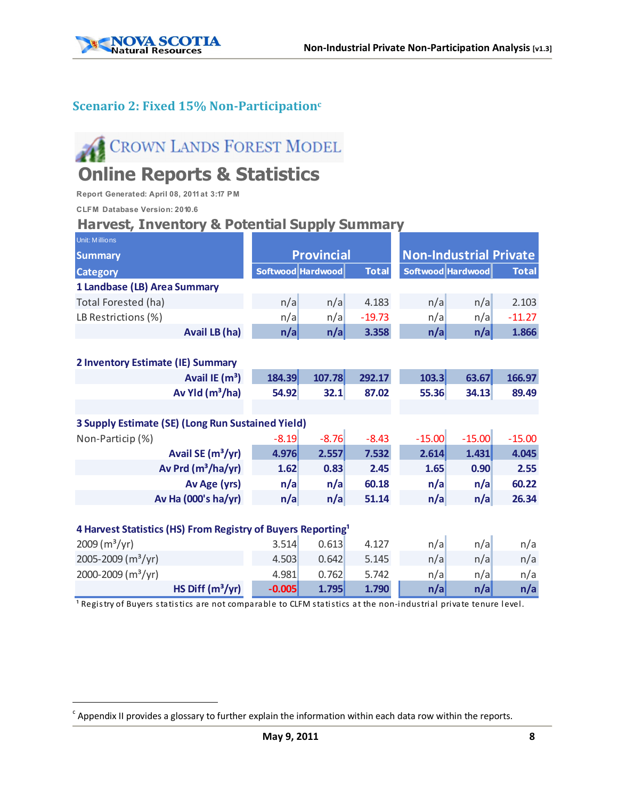

#### **Scenario 2: Fixed 15% Non-Participationc**

# CROWN LANDS FOREST MODEL

# **Online Reports & Statistics**

**Report Generated: April 08, 2011 at 3:17 PM**

**CLFM Database Version: 2010.6**

#### **Harvest, Inventory & Potential Supply Summary**

| Unit: Millions                                                           |          |                   |              |                   |                               |              |
|--------------------------------------------------------------------------|----------|-------------------|--------------|-------------------|-------------------------------|--------------|
| <b>Summary</b>                                                           |          | <b>Provincial</b> |              |                   | <b>Non-Industrial Private</b> |              |
| <b>Category</b>                                                          |          | Softwood Hardwood | <b>Total</b> | Softwood Hardwood |                               | <b>Total</b> |
| 1 Landbase (LB) Area Summary                                             |          |                   |              |                   |                               |              |
| Total Forested (ha)                                                      | n/a      | n/a               | 4.183        | n/a               | n/a                           | 2.103        |
| LB Restrictions (%)                                                      | n/a      | n/a               | $-19.73$     | n/a               | n/a                           | $-11.27$     |
| <b>Avail LB (ha)</b>                                                     | n/a      | n/a               | 3.358        | n/a               | n/a                           | 1.866        |
|                                                                          |          |                   |              |                   |                               |              |
| 2 Inventory Estimate (IE) Summary                                        |          |                   |              |                   |                               |              |
| Avail IE (m <sup>3</sup> )                                               | 184.39   | 107.78            | 292.17       | 103.3             | 63.67                         | 166.97       |
| Av Yld $(m^3/ha)$                                                        | 54.92    | 32.1              | 87.02        | 55.36             | 34.13                         | 89.49        |
|                                                                          |          |                   |              |                   |                               |              |
| 3 Supply Estimate (SE) (Long Run Sustained Yield)                        |          |                   |              |                   |                               |              |
| Non-Particip (%)                                                         | $-8.19$  | $-8.76$           | $-8.43$      | $-15.00$          | $-15.00$                      | $-15.00$     |
| Avail SE (m <sup>3</sup> /yr)                                            | 4.976    | 2.557             | 7.532        | 2.614             | 1.431                         | 4.045        |
| Av Prd (m <sup>3</sup> /ha/yr)                                           | 1.62     | 0.83              | 2.45         | 1.65              | 0.90                          | 2.55         |
| Av Age (yrs)                                                             | n/a      | n/a               | 60.18        | n/a               | n/a                           | 60.22        |
| Av Ha (000's ha/yr)                                                      | n/a      | n/a               | 51.14        | n/a               | n/a                           | 26.34        |
|                                                                          |          |                   |              |                   |                               |              |
| 4 Harvest Statistics (HS) From Registry of Buyers Reporting <sup>1</sup> |          |                   |              |                   |                               |              |
| 2009 (m <sup>3</sup> /yr)                                                | 3.514    | 0.613             | 4.127        | n/a               | n/a                           | n/a          |
| 2005-2009 (m <sup>3</sup> /yr)                                           | 4.503    | 0.642             | 5.145        | n/a               | n/a                           | n/a          |
| 2000-2009 (m <sup>3</sup> /yr)                                           | 4.981    | 0.762             | 5.742        | n/a               | n/a                           | n/a          |
| HS Diff $(m^3/yr)$                                                       | $-0.005$ | 1.795             | 1.790        | n/a               | n/a                           | n/a          |

Registry of Buyers statistics are not comparable to CLFM statistics at the non-industrial private tenure level.

 $c$  Appendix II provides a glossary to further explain the information within each data row within the reports.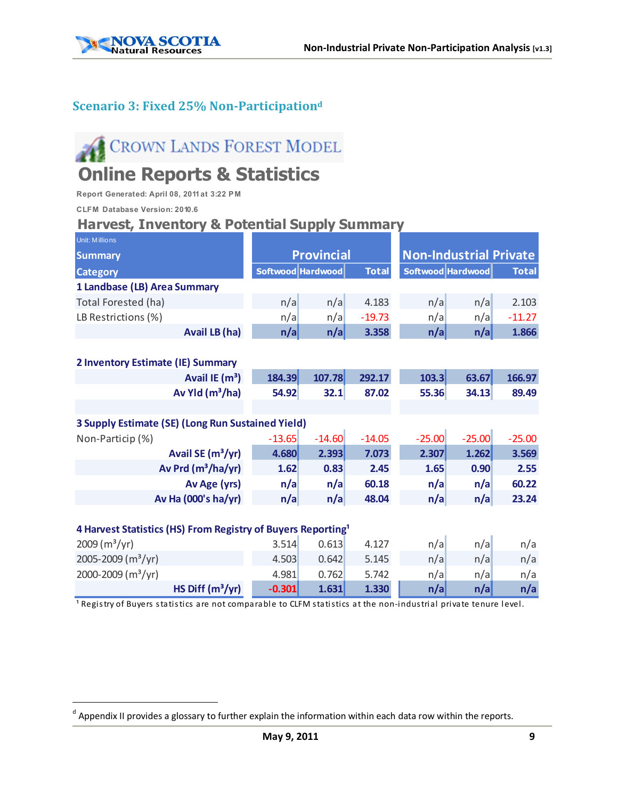

### **Scenario 3: Fixed 25% Non-Participationd**

# CROWN LANDS FOREST MODEL

## **Online Reports & Statistics**

**Report Generated: April 08, 2011 at 3:22 PM**

**CLFM Database Version: 2010.6**

#### **Harvest, Inventory & Potential Supply Summary**

| Unit: Millions                                                           |          |                   |              |                   |                               |              |
|--------------------------------------------------------------------------|----------|-------------------|--------------|-------------------|-------------------------------|--------------|
| <b>Summary</b>                                                           |          | <b>Provincial</b> |              |                   | <b>Non-Industrial Private</b> |              |
| <b>Category</b>                                                          |          | Softwood Hardwood | <b>Total</b> | Softwood Hardwood |                               | <b>Total</b> |
| 1 Landbase (LB) Area Summary                                             |          |                   |              |                   |                               |              |
| Total Forested (ha)                                                      | n/a      | n/a               | 4.183        | n/a               | n/a                           | 2.103        |
| LB Restrictions (%)                                                      | n/a      | n/a               | $-19.73$     | n/a               | n/a                           | $-11.27$     |
| Avail LB (ha)                                                            | n/a      | n/a               | 3.358        | n/a               | n/a                           | 1.866        |
|                                                                          |          |                   |              |                   |                               |              |
| 2 Inventory Estimate (IE) Summary                                        |          |                   |              |                   |                               |              |
| Avail IE (m <sup>3</sup> )                                               | 184.39   | 107.78            | 292.17       | 103.3             | 63.67                         | 166.97       |
| Av Yld $(m^3/ha)$                                                        | 54.92    | 32.1              | 87.02        | 55.36             | 34.13                         | 89.49        |
|                                                                          |          |                   |              |                   |                               |              |
| 3 Supply Estimate (SE) (Long Run Sustained Yield)                        |          |                   |              |                   |                               |              |
| Non-Particip (%)                                                         | $-13.65$ | $-14.60$          | $-14.05$     | $-25.00$          | $-25.00$                      | $-25.00$     |
| Avail SE (m <sup>3</sup> /yr)                                            | 4.680    | 2.393             | 7.073        | 2.307             | 1.262                         | 3.569        |
| Av Prd (m <sup>3</sup> /ha/yr)                                           | 1.62     | 0.83              | 2.45         | 1.65              | 0.90                          | 2.55         |
| Av Age (yrs)                                                             | n/a      | n/a               | 60.18        | n/a               | n/a                           | 60.22        |
| Av Ha (000's ha/yr)                                                      | n/a      | n/a               | 48.04        | n/a               | n/a                           | 23.24        |
|                                                                          |          |                   |              |                   |                               |              |
| 4 Harvest Statistics (HS) From Registry of Buyers Reporting <sup>1</sup> |          |                   |              |                   |                               |              |
| 2009 (m <sup>3</sup> /yr)                                                | 3.514    | 0.613             | 4.127        | n/a               | n/a                           | n/a          |
| 2005-2009 (m <sup>3</sup> /yr)                                           | 4.503    | 0.642             | 5.145        | n/a               | n/a                           | n/a          |
| 2000-2009 (m <sup>3</sup> /yr)                                           | 4.981    | 0.762             | 5.742        | n/a               | n/a                           | n/a          |
| HS Diff $(m^3/yr)$                                                       | $-0.301$ | 1.631             | 1.330        | n/a               | n/a                           | n/a          |

Registry of Buyers statistics are not comparable to CLFM statistics at the non-industrial private tenure level.

<sup>&</sup>lt;sup>d</sup> Appendix II provides a glossary to further explain the information within each data row within the reports.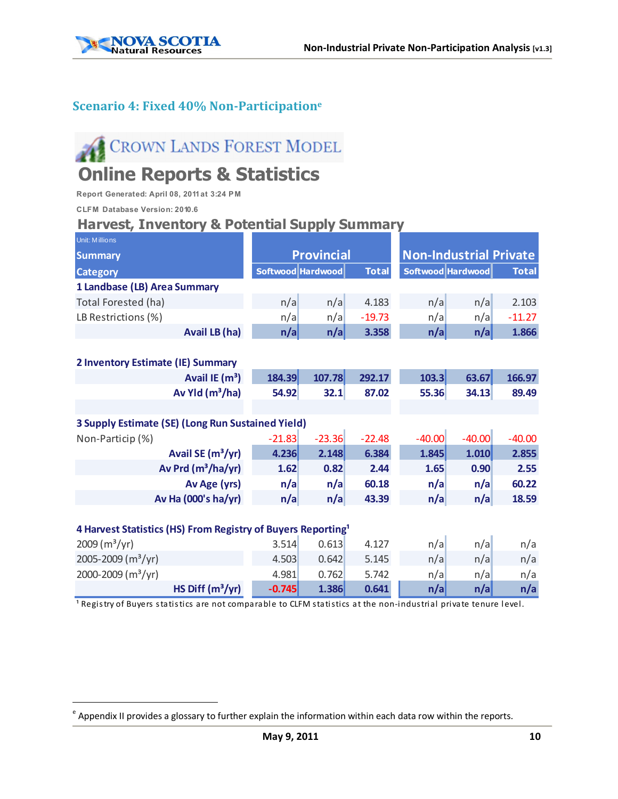

#### **Scenario 4: Fixed 40% Non-Participatione**

# CROWN LANDS FOREST MODEL

## **Online Reports & Statistics**

**Report Generated: April 08, 2011 at 3:24 PM**

**CLFM Database Version: 2010.6**

#### **Harvest, Inventory & Potential Supply Summary**

| Unit: Millions                                                           |          |                   |              |                               |          |              |
|--------------------------------------------------------------------------|----------|-------------------|--------------|-------------------------------|----------|--------------|
| <b>Summary</b>                                                           |          | <b>Provincial</b> |              | <b>Non-Industrial Private</b> |          |              |
| <b>Category</b>                                                          |          | Softwood Hardwood | <b>Total</b> | Softwood Hardwood             |          | <b>Total</b> |
| 1 Landbase (LB) Area Summary                                             |          |                   |              |                               |          |              |
| Total Forested (ha)                                                      | n/a      | n/a               | 4.183        | n/a                           | n/a      | 2.103        |
| LB Restrictions (%)                                                      | n/a      | n/a               | $-19.73$     | n/a                           | n/a      | $-11.27$     |
| <b>Avail LB (ha)</b>                                                     | n/a      | n/a               | 3.358        | n/a                           | n/a      | 1.866        |
|                                                                          |          |                   |              |                               |          |              |
| 2 Inventory Estimate (IE) Summary                                        |          |                   |              |                               |          |              |
| Avail IE (m <sup>3</sup> )                                               | 184.39   | 107.78            | 292.17       | 103.3                         | 63.67    | 166.97       |
| Av Yld $(m^3/ha)$                                                        | 54.92    | 32.1              | 87.02        | 55.36                         | 34.13    | 89.49        |
|                                                                          |          |                   |              |                               |          |              |
| 3 Supply Estimate (SE) (Long Run Sustained Yield)                        |          |                   |              |                               |          |              |
| Non-Particip (%)                                                         | $-21.83$ | $-23.36$          | $-22.48$     | $-40.00$                      | $-40.00$ | $-40.00$     |
| Avail SE (m <sup>3</sup> /yr)                                            | 4.236    | 2.148             | 6.384        | 1.845                         | 1.010    | 2.855        |
| Av Prd (m <sup>3</sup> /ha/yr)                                           | 1.62     | 0.82              | 2.44         | 1.65                          | 0.90     | 2.55         |
| Av Age (yrs)                                                             | n/a      | n/a               | 60.18        | n/a                           | n/a      | 60.22        |
| Av Ha (000's ha/yr)                                                      | n/a      | n/a               | 43.39        | n/a                           | n/a      | 18.59        |
|                                                                          |          |                   |              |                               |          |              |
| 4 Harvest Statistics (HS) From Registry of Buyers Reporting <sup>1</sup> |          |                   |              |                               |          |              |
| 2009 (m <sup>3</sup> /yr)                                                | 3.514    | 0.613             | 4.127        | n/a                           | n/a      | n/a          |
| 2005-2009 (m <sup>3</sup> /yr)                                           | 4.503    | 0.642             | 5.145        | n/a                           | n/a      | n/a          |
| 2000-2009 (m <sup>3</sup> /yr)                                           | 4.981    | 0.762             | 5.742        | n/a                           | n/a      | n/a          |
| HS Diff $(m^3/yr)$                                                       | $-0.745$ | 1.386             | 0.641        | n/a                           | n/a      | n/a          |

Registry of Buyers statistics are not comparable to CLFM statistics at the non-industrial private tenure level.

 $e^e$  Appendix II provides a glossary to further explain the information within each data row within the reports.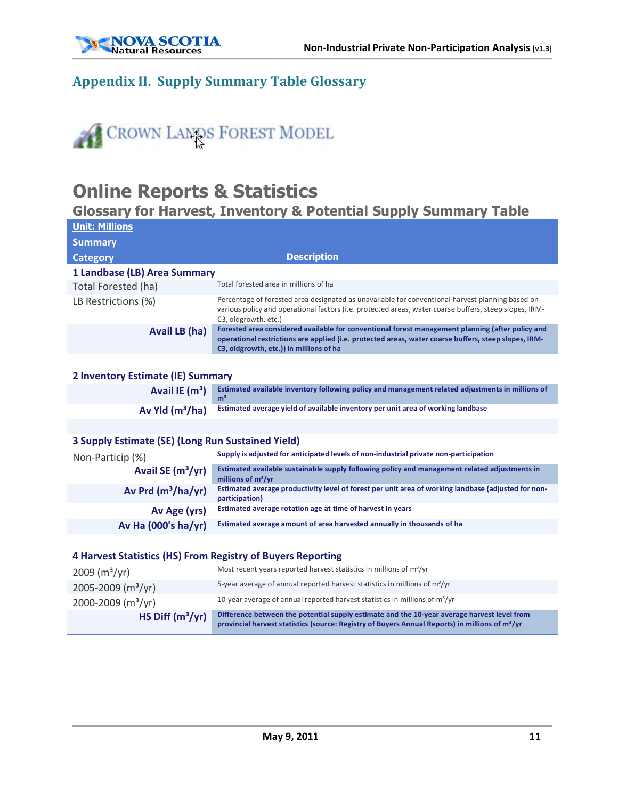

### **Appendix II. Supply Summary Table Glossary**



## **Online Reports & Statistics**

### **Glossary for Harvest, Inventory & Potential Supply Summary Table**

| <b>Unit: Millions</b>                                       |                                                                                                                                                                                                                                                     |
|-------------------------------------------------------------|-----------------------------------------------------------------------------------------------------------------------------------------------------------------------------------------------------------------------------------------------------|
| <b>Summary</b>                                              |                                                                                                                                                                                                                                                     |
| <b>Category</b>                                             | <b>Description</b>                                                                                                                                                                                                                                  |
| 1 Landbase (LB) Area Summary                                |                                                                                                                                                                                                                                                     |
| Total Forested (ha)                                         | Total forested area in millions of ha                                                                                                                                                                                                               |
| LB Restrictions (%)                                         | Percentage of forested area designated as unavailable for conventional harvest planning based on<br>various policy and operational factors (i.e. protected areas, water coarse buffers, steep slopes, IRM-<br>C3, oldgrowth, etc.)                  |
| Avail LB (ha)                                               | Forested area considered available for conventional forest management planning (after policy and<br>operational restrictions are applied (i.e. protected areas, water coarse buffers, steep slopes, IRM-<br>C3, oldgrowth, etc.)) in millions of ha |
|                                                             |                                                                                                                                                                                                                                                     |
| 2 Inventory Estimate (IE) Summary                           |                                                                                                                                                                                                                                                     |
| Avail IE $(m^3)$                                            | Estimated available inventory following policy and management related adjustments in millions of<br>m <sup>3</sup>                                                                                                                                  |
| Av Yld $(m^3/ha)$                                           | Estimated average yield of available inventory per unit area of working landbase                                                                                                                                                                    |
|                                                             |                                                                                                                                                                                                                                                     |
| 3 Supply Estimate (SE) (Long Run Sustained Yield)           |                                                                                                                                                                                                                                                     |
| Non-Particip (%)                                            | Supply is adjusted for anticipated levels of non-industrial private non-participation                                                                                                                                                               |
| Avail SE (m <sup>3</sup> /yr)                               | Estimated available sustainable supply following policy and management related adjustments in<br>millions of $m^3/yr$                                                                                                                               |
| Av Prd $(m^3/ha/yr)$                                        | Estimated average productivity level of forest per unit area of working landbase (adjusted for non-<br>participation)                                                                                                                               |
| Av Age (yrs)                                                | Estimated average rotation age at time of harvest in years                                                                                                                                                                                          |
| Av Ha (000's ha/yr)                                         | Estimated average amount of area harvested annually in thousands of ha                                                                                                                                                                              |
|                                                             |                                                                                                                                                                                                                                                     |
| 4 Harvest Statistics (HS) From Registry of Buyers Reporting |                                                                                                                                                                                                                                                     |
| $2009 (m^3/yr)$                                             | Most recent years reported harvest statistics in millions of $m^3$ /yr                                                                                                                                                                              |

| HS Diff $(m^3/yr)$                 | Difference between the potential supply estimate and the 10-year average harvest level from<br>provincial harvest statistics (source: Registry of Buyers Annual Reports) in millions of m <sup>3</sup> /yr |
|------------------------------------|------------------------------------------------------------------------------------------------------------------------------------------------------------------------------------------------------------|
| $2000 - 2009$ (m <sup>3</sup> /yr) | 10-year average of annual reported harvest statistics in millions of $m^3/yr$                                                                                                                              |
| 2005-2009 ( $m^3/yr$ )             | 5-year average of annual reported harvest statistics in millions of $m^3/yr$                                                                                                                               |
| 2009 (m <sup>3</sup> /yr)          | <u>INTOSET COCHE YOURS FOROI LOU HUI VOSE SEULISCIOS IN HIIIIIOHS OF HIT / YF</u>                                                                                                                          |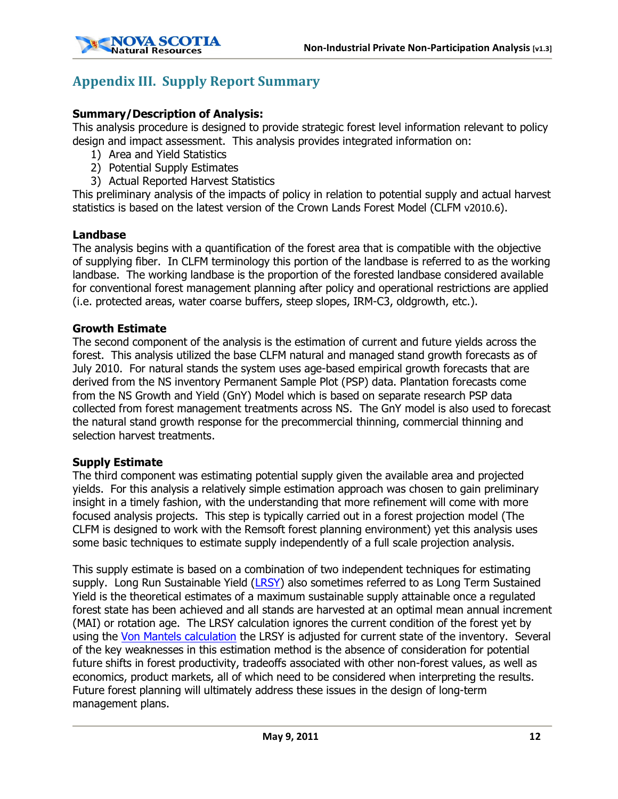

## **Appendix III. Supply Report Summary**

#### **Summary/Description of Analysis:**

This analysis procedure is designed to provide strategic forest level information relevant to policy design and impact assessment. This analysis provides integrated information on:

- 1) Area and Yield Statistics
- 2) Potential Supply Estimates
- 3) Actual Reported Harvest Statistics

This preliminary analysis of the impacts of policy in relation to potential supply and actual harvest statistics is based on the latest version of the Crown Lands Forest Model (CLFM v2010.6).

#### **Landbase**

The analysis begins with a quantification of the forest area that is compatible with the objective of supplying fiber. In CLFM terminology this portion of the landbase is referred to as the working landbase. The working landbase is the proportion of the forested landbase considered available for conventional forest management planning after policy and operational restrictions are applied (i.e. protected areas, water coarse buffers, steep slopes, IRM-C3, oldgrowth, etc.).

#### **Growth Estimate**

The second component of the analysis is the estimation of current and future yields across the forest. This analysis utilized the base CLFM natural and managed stand growth forecasts as of July 2010. For natural stands the system uses age-based empirical growth forecasts that are derived from the NS inventory Permanent Sample Plot (PSP) data. Plantation forecasts come from the NS Growth and Yield (GnY) Model which is based on separate research PSP data collected from forest management treatments across NS. The GnY model is also used to forecast the natural stand growth response for the precommercial thinning, commercial thinning and selection harvest treatments.

#### **Supply Estimate**

The third component was estimating potential supply given the available area and projected yields. For this analysis a relatively simple estimation approach was chosen to gain preliminary insight in a timely fashion, with the understanding that more refinement will come with more focused analysis projects. This step is typically carried out in a forest projection model (The CLFM is designed to work with the Remsoft forest planning environment) yet this analysis uses some basic techniques to estimate supply independently of a full scale projection analysis.

This supply estimate is based on a combination of two independent techniques for estimating supply. Long Run Sustainable Yield ([LRSY\)](http://safnet.dreamhosters.com/dict/term/long-term_sustained_yield) also sometimes referred to as Long Term Sustained Yield is the theoretical estimates of a maximum sustainable supply attainable once a regulated forest state has been achieved and all stands are harvested at an optimal mean annual increment (MAI) or rotation age. The LRSY calculation ignores the current condition of the forest yet by using the [Von Mantels calculation](http://books.google.ca/books?id=XXbE7KJHN1kC&pg=PA219&lpg=PA219&dq=von+mantel+growing+stock&source=bl&ots=5s7vRGkafF&sig=YtHKW1v6ATlPthSY3BsfP0VkasY&hl=en&ei=3ozkSZuiLZPflQfgmaTgDg&sa=X&oi=book_result&ct=result&resnum=3) the LRSY is adjusted for current state of the inventory. Several of the key weaknesses in this estimation method is the absence of consideration for potential future shifts in forest productivity, tradeoffs associated with other non-forest values, as well as economics, product markets, all of which need to be considered when interpreting the results. Future forest planning will ultimately address these issues in the design of long-term management plans.